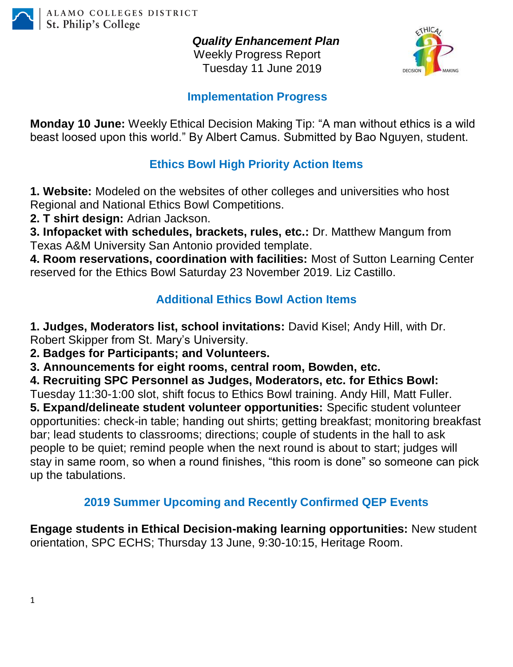

*Quality Enhancement Plan*

Weekly Progress Report Tuesday 11 June 2019



#### **Implementation Progress**

**Monday 10 June:** Weekly Ethical Decision Making Tip: "A man without ethics is a wild beast loosed upon this world." By Albert Camus. Submitted by Bao Nguyen, student.

## **Ethics Bowl High Priority Action Items**

**1. Website:** Modeled on the websites of other colleges and universities who host Regional and National Ethics Bowl Competitions.

**2. T shirt design:** Adrian Jackson.

**3. Infopacket with schedules, brackets, rules, etc.:** Dr. Matthew Mangum from Texas A&M University San Antonio provided template.

**4. Room reservations, coordination with facilities:** Most of Sutton Learning Center reserved for the Ethics Bowl Saturday 23 November 2019. Liz Castillo.

# **Additional Ethics Bowl Action Items**

**1. Judges, Moderators list, school invitations:** David Kisel; Andy Hill, with Dr. Robert Skipper from St. Mary's University.

**2. Badges for Participants; and Volunteers.**

**3. Announcements for eight rooms, central room, Bowden, etc.**

**4. Recruiting SPC Personnel as Judges, Moderators, etc. for Ethics Bowl:**

Tuesday 11:30-1:00 slot, shift focus to Ethics Bowl training. Andy Hill, Matt Fuller.

**5. Expand/delineate student volunteer opportunities:** Specific student volunteer opportunities: check-in table; handing out shirts; getting breakfast; monitoring breakfast bar; lead students to classrooms; directions; couple of students in the hall to ask people to be quiet; remind people when the next round is about to start; judges will stay in same room, so when a round finishes, "this room is done" so someone can pick up the tabulations.

### **2019 Summer Upcoming and Recently Confirmed QEP Events**

**Engage students in Ethical Decision-making learning opportunities:** New student orientation, SPC ECHS; Thursday 13 June, 9:30-10:15, Heritage Room.